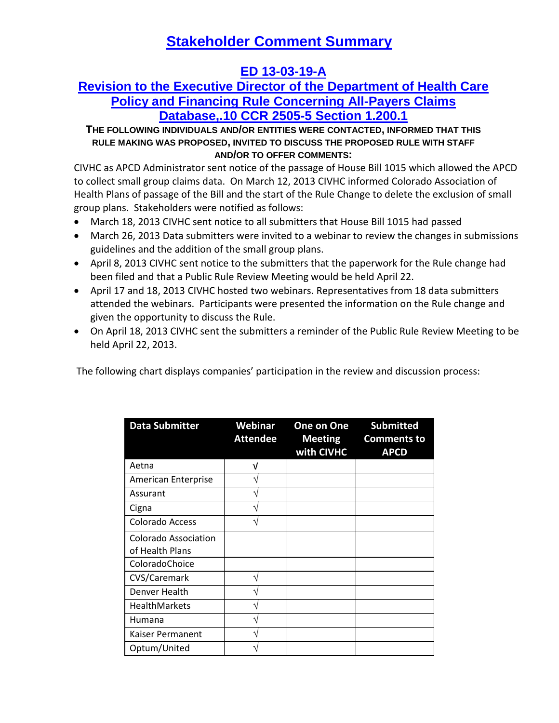# **Stakeholder Comment Summary**

## **ED 13-03-19-A**

### **Revision to the Executive Director of the Department of Health Care Policy and Financing Rule Concerning All-Payers Claims Database,.10 CCR 2505-5 Section 1.200.1**

#### **THE FOLLOWING INDIVIDUALS AND/OR ENTITIES WERE CONTACTED, INFORMED THAT THIS RULE MAKING WAS PROPOSED, INVITED TO DISCUSS THE PROPOSED RULE WITH STAFF AND/OR TO OFFER COMMENTS:**

CIVHC as APCD Administrator sent notice of the passage of House Bill 1015 which allowed the APCD to collect small group claims data. On March 12, 2013 CIVHC informed Colorado Association of Health Plans of passage of the Bill and the start of the Rule Change to delete the exclusion of small group plans. Stakeholders were notified as follows:

- March 18, 2013 CIVHC sent notice to all submitters that House Bill 1015 had passed
- March 26, 2013 Data submitters were invited to a webinar to review the changes in submissions guidelines and the addition of the small group plans.
- April 8, 2013 CIVHC sent notice to the submitters that the paperwork for the Rule change had been filed and that a Public Rule Review Meeting would be held April 22.
- April 17 and 18, 2013 CIVHC hosted two webinars. Representatives from 18 data submitters attended the webinars. Participants were presented the information on the Rule change and given the opportunity to discuss the Rule.
- On April 18, 2013 CIVHC sent the submitters a reminder of the Public Rule Review Meeting to be held April 22, 2013.

The following chart displays companies' participation in the review and discussion process:

| <b>Data Submitter</b>      | Webinar<br><b>Attendee</b> | <b>One on One</b><br><b>Meeting</b><br>with CIVHC | <b>Submitted</b><br><b>Comments to</b><br><b>APCD</b> |
|----------------------------|----------------------------|---------------------------------------------------|-------------------------------------------------------|
| Aetna                      | V                          |                                                   |                                                       |
| <b>American Enterprise</b> |                            |                                                   |                                                       |
| Assurant                   |                            |                                                   |                                                       |
| Cigna                      |                            |                                                   |                                                       |
| <b>Colorado Access</b>     |                            |                                                   |                                                       |
| Colorado Association       |                            |                                                   |                                                       |
| of Health Plans            |                            |                                                   |                                                       |
| ColoradoChoice             |                            |                                                   |                                                       |
| CVS/Caremark               |                            |                                                   |                                                       |
| Denver Health              |                            |                                                   |                                                       |
| <b>HealthMarkets</b>       |                            |                                                   |                                                       |
| Humana                     |                            |                                                   |                                                       |
| Kaiser Permanent           |                            |                                                   |                                                       |
| Optum/United               |                            |                                                   |                                                       |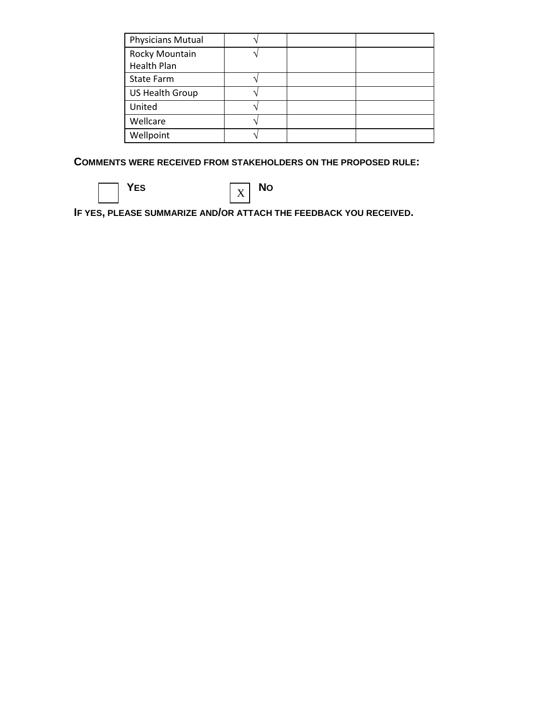| <b>Physicians Mutual</b>             |  |  |
|--------------------------------------|--|--|
| Rocky Mountain<br><b>Health Plan</b> |  |  |
|                                      |  |  |
| <b>State Farm</b>                    |  |  |
| US Health Group                      |  |  |
| United                               |  |  |
| Wellcare                             |  |  |
| Wellpoint                            |  |  |

**COMMENTS WERE RECEIVED FROM STAKEHOLDERS ON THE PROPOSED RULE:**

YES **NO** X

**IF YES, PLEASE SUMMARIZE AND/OR ATTACH THE FEEDBACK YOU RECEIVED.**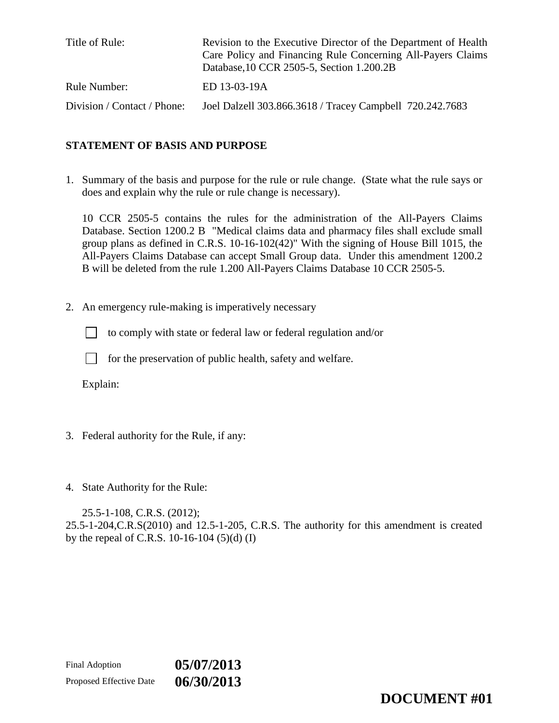| Title of Rule:              | Revision to the Executive Director of the Department of Health<br>Care Policy and Financing Rule Concerning All-Payers Claims<br>Database, 10 CCR 2505-5, Section 1.200.2B |
|-----------------------------|----------------------------------------------------------------------------------------------------------------------------------------------------------------------------|
| Rule Number:                | ED 13-03-19A                                                                                                                                                               |
| Division / Contact / Phone: | Joel Dalzell 303.866.3618 / Tracey Campbell 720.242.7683                                                                                                                   |

#### **STATEMENT OF BASIS AND PURPOSE**

1. Summary of the basis and purpose for the rule or rule change. (State what the rule says or does and explain why the rule or rule change is necessary).

10 CCR 2505-5 contains the rules for the administration of the All-Payers Claims Database. Section 1200.2 B "Medical claims data and pharmacy files shall exclude small group plans as defined in C.R.S. 10-16-102(42)" With the signing of House Bill 1015, the All-Payers Claims Database can accept Small Group data. Under this amendment 1200.2 B will be deleted from the rule 1.200 All-Payers Claims Database 10 CCR 2505-5.

2. An emergency rule-making is imperatively necessary

to comply with state or federal law or federal regulation and/or

 $\Box$ for the preservation of public health, safety and welfare.

Explain:

- 3. Federal authority for the Rule, if any:
- 4. State Authority for the Rule:

25.5-1-108, C.R.S. (2012); 25.5-1-204,C.R.S(2010) and 12.5-1-205, C.R.S. The authority for this amendment is created by the repeal of C.R.S. 10-16-104 (5)(d) (I)

**DOCUMENT #01**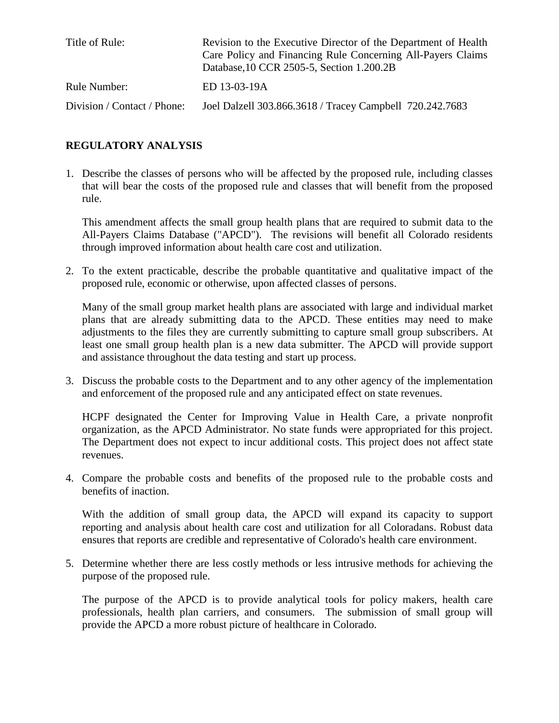| Title of Rule:              | Revision to the Executive Director of the Department of Health<br>Care Policy and Financing Rule Concerning All-Payers Claims<br>Database, 10 CCR 2505-5, Section 1.200.2B |
|-----------------------------|----------------------------------------------------------------------------------------------------------------------------------------------------------------------------|
| Rule Number:                | ED 13-03-19A                                                                                                                                                               |
| Division / Contact / Phone: | Joel Dalzell 303.866.3618 / Tracey Campbell 720.242.7683                                                                                                                   |

#### **REGULATORY ANALYSIS**

1. Describe the classes of persons who will be affected by the proposed rule, including classes that will bear the costs of the proposed rule and classes that will benefit from the proposed rule.

This amendment affects the small group health plans that are required to submit data to the All-Payers Claims Database ("APCD"). The revisions will benefit all Colorado residents through improved information about health care cost and utilization.

2. To the extent practicable, describe the probable quantitative and qualitative impact of the proposed rule, economic or otherwise, upon affected classes of persons.

Many of the small group market health plans are associated with large and individual market plans that are already submitting data to the APCD. These entities may need to make adjustments to the files they are currently submitting to capture small group subscribers. At least one small group health plan is a new data submitter. The APCD will provide support and assistance throughout the data testing and start up process.

3. Discuss the probable costs to the Department and to any other agency of the implementation and enforcement of the proposed rule and any anticipated effect on state revenues.

HCPF designated the Center for Improving Value in Health Care, a private nonprofit organization, as the APCD Administrator. No state funds were appropriated for this project. The Department does not expect to incur additional costs. This project does not affect state revenues.

4. Compare the probable costs and benefits of the proposed rule to the probable costs and benefits of inaction.

With the addition of small group data, the APCD will expand its capacity to support reporting and analysis about health care cost and utilization for all Coloradans. Robust data ensures that reports are credible and representative of Colorado's health care environment.

5. Determine whether there are less costly methods or less intrusive methods for achieving the purpose of the proposed rule.

The purpose of the APCD is to provide analytical tools for policy makers, health care professionals, health plan carriers, and consumers. The submission of small group will provide the APCD a more robust picture of healthcare in Colorado.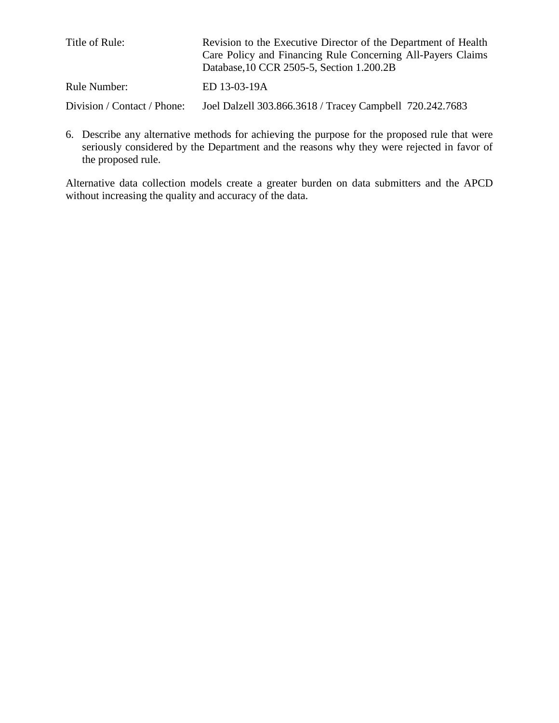| Title of Rule:              | Revision to the Executive Director of the Department of Health<br>Care Policy and Financing Rule Concerning All-Payers Claims<br>Database, 10 CCR 2505-5, Section 1.200.2B |
|-----------------------------|----------------------------------------------------------------------------------------------------------------------------------------------------------------------------|
| Rule Number:                | ED 13-03-19A                                                                                                                                                               |
| Division / Contact / Phone: | Joel Dalzell 303.866.3618 / Tracey Campbell 720.242.7683                                                                                                                   |

6. Describe any alternative methods for achieving the purpose for the proposed rule that were seriously considered by the Department and the reasons why they were rejected in favor of the proposed rule.

Alternative data collection models create a greater burden on data submitters and the APCD without increasing the quality and accuracy of the data.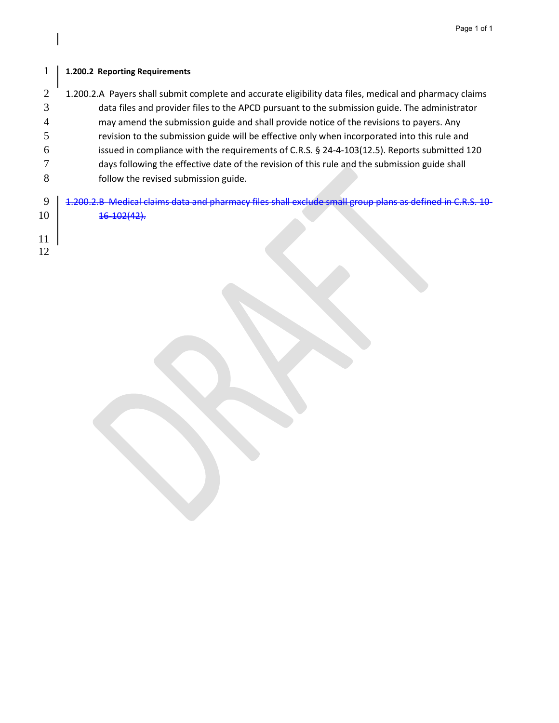#### **1.200.2 Reporting Requirements**

- 2 1.200.2.A Payers shall submit complete and accurate eligibility data files, medical and pharmacy claims data files and provider files to the APCD pursuant to the submission guide. The administrator may amend the submission guide and shall provide notice of the revisions to payers. Any revision to the submission guide will be effective only when incorporated into this rule and issued in compliance with the requirements of C.R.S. § 24-4-103(12.5). Reports submitted 120 days following the effective date of the revision of this rule and the submission guide shall follow the revised submission guide. 9 1.200.2.B Medical claims data and pharmacy files shall exclude small group plans as defined in C.R.S. 10-
- $16-102(42)$ .
- 
-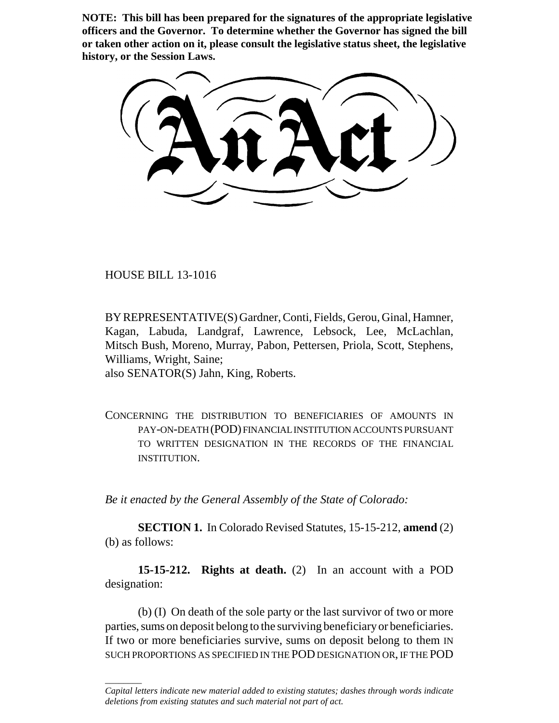**NOTE: This bill has been prepared for the signatures of the appropriate legislative officers and the Governor. To determine whether the Governor has signed the bill or taken other action on it, please consult the legislative status sheet, the legislative history, or the Session Laws.**

HOUSE BILL 13-1016

 $\overline{\phantom{a}}$ 

BY REPRESENTATIVE(S) Gardner, Conti, Fields, Gerou, Ginal, Hamner, Kagan, Labuda, Landgraf, Lawrence, Lebsock, Lee, McLachlan, Mitsch Bush, Moreno, Murray, Pabon, Pettersen, Priola, Scott, Stephens, Williams, Wright, Saine;

also SENATOR(S) Jahn, King, Roberts.

CONCERNING THE DISTRIBUTION TO BENEFICIARIES OF AMOUNTS IN PAY-ON-DEATH (POD) FINANCIAL INSTITUTION ACCOUNTS PURSUANT TO WRITTEN DESIGNATION IN THE RECORDS OF THE FINANCIAL INSTITUTION.

*Be it enacted by the General Assembly of the State of Colorado:*

**SECTION 1.** In Colorado Revised Statutes, 15-15-212, **amend** (2) (b) as follows:

**15-15-212. Rights at death.** (2) In an account with a POD designation:

(b) (I) On death of the sole party or the last survivor of two or more parties, sums on deposit belong to the surviving beneficiary or beneficiaries. If two or more beneficiaries survive, sums on deposit belong to them IN SUCH PROPORTIONS AS SPECIFIED IN THE POD DESIGNATION OR, IF THE POD

*Capital letters indicate new material added to existing statutes; dashes through words indicate deletions from existing statutes and such material not part of act.*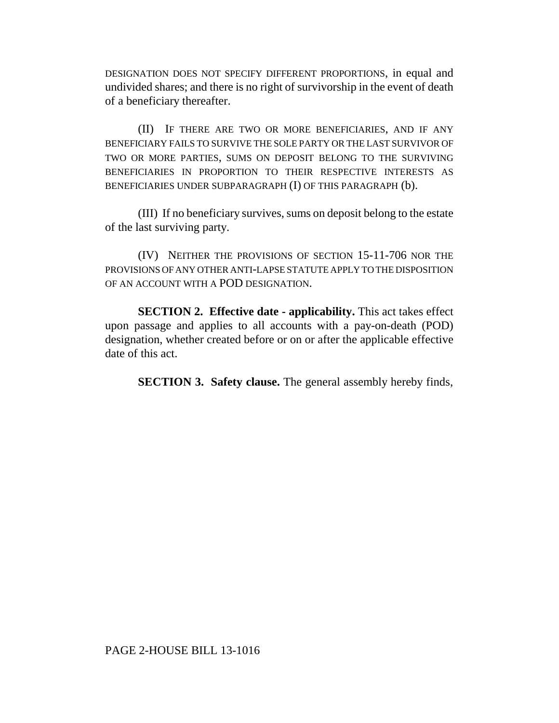DESIGNATION DOES NOT SPECIFY DIFFERENT PROPORTIONS, in equal and undivided shares; and there is no right of survivorship in the event of death of a beneficiary thereafter.

(II) IF THERE ARE TWO OR MORE BENEFICIARIES, AND IF ANY BENEFICIARY FAILS TO SURVIVE THE SOLE PARTY OR THE LAST SURVIVOR OF TWO OR MORE PARTIES, SUMS ON DEPOSIT BELONG TO THE SURVIVING BENEFICIARIES IN PROPORTION TO THEIR RESPECTIVE INTERESTS AS BENEFICIARIES UNDER SUBPARAGRAPH (I) OF THIS PARAGRAPH (b).

(III) If no beneficiary survives, sums on deposit belong to the estate of the last surviving party.

(IV) NEITHER THE PROVISIONS OF SECTION 15-11-706 NOR THE PROVISIONS OF ANY OTHER ANTI-LAPSE STATUTE APPLY TO THE DISPOSITION OF AN ACCOUNT WITH A POD DESIGNATION.

**SECTION 2. Effective date - applicability.** This act takes effect upon passage and applies to all accounts with a pay-on-death (POD) designation, whether created before or on or after the applicable effective date of this act.

**SECTION 3. Safety clause.** The general assembly hereby finds,